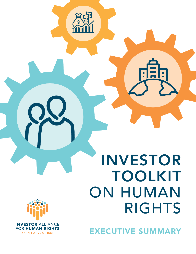# INVESTOR TOOLKIT ON HUMAN RIGHTS



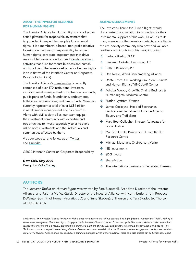#### ABOUT THE INVESTOR ALLIANCE FOR HUMAN RIGHTS

The [Investor Alliance for Human Rights](http://www.investorsforhumanrights.org) is a collective action platform for responsible investment that is grounded in respect for people's fundamental rights. It is a membership-based, non-profit initiative focusing on the [investor responsibility](https://investorsforhumanrights.org/investor-responsibility) to respect human rights, [corporate engagements](https://investorsforhumanrights.org/corporate-engagement) that drive responsible business conduct, and [standard-setting](https://investorsforhumanrights.org/standard-setting)  [activities](https://investorsforhumanrights.org/standard-setting) that push for robust business and human rights policies. The Investor Alliance for Human Rights is an initiative of the Interfaith Center on Corporate Responsibility (ICCR).

The Investor Alliance's [membership](https://investorsforhumanrights.org/members) is currently comprised of over 170 institutional investors, including asset management firms, trade union funds, public pension funds, foundations, endowments, faith-based organizations, and family funds. Members currently represent a total of over US\$4 trillion in assets under management and 19 countries. Along with civil society allies, [our team](https://investorsforhumanrights.org/staff) equips the investment community with expertise and opportunities to invest responsibly so as to avoid risk to both investments and the individuals and communities affected by them.

Visit our [website,](http://www.investorsforhumanrights.org) and follow us on [Twitter](https://twitter.com/InvestForRights) and [LinkedIn](https://www.linkedin.com/company/26206107/admin/).

©2020 Interfaith Center on Corporate Responsibility

#### New York, May 2020

Design by [Molly Conley](https://www.mollyconley.com/)

#### ACKNOWLEDGEMENTS

The Investor Alliance for Human Rights would like to extend appreciation to its funders for their instrumental support of this work, as well as to its many members, other investor contacts, and allies in the civil society community who provided valuable feedback and inputs into this work, including:

- $\rightarrow$  Barbara Bijelic, OECD
- $\rightarrow$  Benjamin Cokelet, Empower, LLC
- $\rightarrow$  Bettina Reinboth, PRI
- $\rightarrow$  Dan Neale, World Benchmarking Alliance
- $\rightarrow$  Dante Pesce, UN Working Group on Business and Human Rights / VINCULAR Center
- $\rightarrow$  Felicitas Weber, KnowTheChain / Business & Human Rights Resource Centre
- $\rightarrow$  Fredric Nyström, Öhman
- $\rightarrow$  James Cockayne, Head of Secretariat, Liechtenstein Initiative for Finance Against Slavery and Trafficking
- $\rightarrow$  Mary Beth Gallagher, Investor Advocates for Social Justice
- $\rightarrow$  Mauricio Lazala, Business & Human Rights Resource Centre
- $\rightarrow$  Michael Musuraca, Chairperson, Verite
- $\rightarrow$  NEI Investments
- $\rightarrow$  SDG Invest
- $\rightarrow$  ShareAction
- $\rightarrow$  The international business of Federated Hermes

#### AUTHORS

The *Investor Toolkit on Human Rights* was written by Sara Blackwell, Associate Director of the Investor Alliance, and Paloma Muñoz Quick, Director of the Investor Alliance, with contributions from Rebecca DeWinter-Schmitt of Human Analytics LLC and Sune Skadegård Thorsen and Tara Skadegård Thorsen of GLOBAL CSR.

*Disclaimers: The Investor Alliance for Human Rights does not endorse the various case studies highlighted throughout the Toolkit. Rather, it offers these examples as illustrative of promising practice in the area of investor respect for human rights. The Investor Alliance is also aware that*  responsible investment is a rapidly growing field and that a plethora of initiatives and guidance materials already exist in this space. This *Toolkit incorporates many of these existing efforts and resources so as to avoid duplication. However, unintended gaps and overlaps are certain to remain. The Investor Alliance offers this Toolkit as a starting point upon which further guidance, tools, and case studies can be further developed.*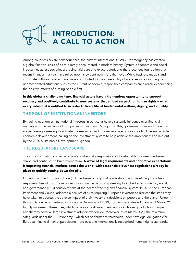## 1. INTRODUCTION: A CALL TO ACTION

Among countless severe consequences, the current international COVID-19 emergency has created a global financial crisis of a scale rarely encountered in modern history. Systemic economic and social inequalities across societies are being laid bare and exacerbated, and the precarious foundation that recent financial markets have relied upon is evident now more than ever. While business models and corporate cultures have in many ways contributed to the vulnerability of societies in responding to unprecedented situations such as the current pandemic, responsible companies are already experiencing the [positive effects of putting people first](https://papers.ssrn.com/sol3/papers.cfm?abstract_id=3578167).

In this globally challenging time, financial actors have a [tremendous opportunity](https://www.ft.com/content/bc988e0e-687c-4c72-98eb-ae2595e29bee) to support recovery and positively contribute to [new systems that embed respect for human rights](https://www.ft.com/content/b70835a4-d3c5-11e9-a0bd-ab8ec6435630) – what every individual is entitled to in order to live a life of fundamental welfare, dignity, and equality.

#### THE ROLE OF INSTITUTIONAL INVESTORS

By fueling economies, institutional investors in particular have a systemic influence over financial markets and the behavior of companies within them. Recognizing this, governments around the world are increasingly seeking to activate the resources and unique leverage of investors to drive sustainable economic development, calling on the investment system to help achieve the ambitious vision laid out by the [2030 Sustainable Development Agenda.](https://www.un.org/sustainabledevelopment/development-agenda/)

#### THE REGULATORY LANDSCAPE

The current situation comes as a new era of socially responsible and sustainable business has taken shape and continues to build momentum. A wave of legal requirements and normative expectations is impacting financial markets across the world, with responsible business regulations already in [place](https://www.business-humanrights.org/en/mandatory-due-diligence) or [quickly coming down the pike](https://responsiblebusinessconduct.eu/wp/2020/04/30/european-commission-promises-mandatory-due-diligence-legislation-in-2021/).

In particular, the European Union (EU) has taken on a global leadership role in redefining the roles and [responsibilities of institutional investors as financial actors](https://eur-lex.europa.eu/legal-content/EN/TXT/?uri=CELEX%3A52018PC0354) by seeking to embed environmental, social, and governance (ESG) considerations at the heart of the region's financial system. In 2019, the European Parliament and Council adopted a new set of rules requiring European investors to disclose the steps they [have taken to address the adverse impact of their investment decisions on people and the planet](https://www.business-humanrights.org/en/eu-commission-action-plan-on-sustainable-finance/). Under this regulation, which entered into force in December of 2019, EU member states will have until May 2021 to fully implement these rules, which will apply to all investment advisors who sell products in Europe and thereby cover all large investment advisers worldwide. Moreover, as of March 2020, the minimum safeguards under the [EU Taxonomy](https://ec.europa.eu/info/sites/info/files/business_economy_euro/banking_and_finance/documents/200309-sustainable-finance-teg-final-report-taxonomy_en.pdf) – which set performance thresholds under new legal obligations for European financial market participants – are based in internationally recognized human rights standards.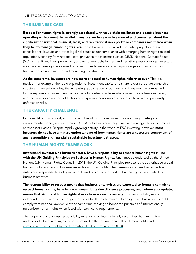#### THE BUSINESS CASE

Respect for human rights is [strongly associated](https://www.humanrights.dk/sites/humanrights.dk/files/media/migrated/final_human_rights_and_economic_growth_-_an_econometric_analysis.pdf) with value chain resilience and a stable business operating environment. In parallel, [investors are increasingly aware of and concerned](https://investorsforhumanrights.org/cross-sectoral/investors-over-us45-trillion-assets-call-out-leading-companies-over-human-rights) about the significant operational, financial, legal, and reputational risks portfolio companies might face when they fail to manage human rights risks. These business risks include potential project delays and cancellations, [lawsuits and other legal risks](https://www.jdsupra.com/legalnews/private-equity-funds-and-liability-for-67909/) such as noncompliance with emerging human rights-related regulations, [scrutiny from national-level grievance mechanisms such as OECD National Contact Points](https://mneguidelines.oecd.org/database/instances/nl0023.htm)  [\(NCPs\)](https://mneguidelines.oecd.org/database/instances/nl0023.htm), [significant fines](https://www.greenpeace.org/usa/news/resolute-to-pay-almost-1-million-dollars-to-greenpeace/), productivity and recruitment challenges, and negative press coverage. Investors also have [increasingly recognized fiduciary duties](https://www.unepfi.org/investment/fiduciary-duty/) to assess and act upon longer-term risks such as human rights risks in making and managing investments.

At the same time, investors are now more exposed to human rights risks than ever. This is a result of, for example, the rapid expansion of investment capital and shareholder corporate ownership structures in recent decades, the increasing globalization of business and investment accompanied by the expansion of investment value chains to contexts far from where investors are headquartered, and the rapid development of technology exposing individuals and societies to new and previously unforeseen risks.

#### THE CAPACITY CHALLENGE

In the midst of this context, a growing number of institutional investors are aiming to integrate environmental, social, and governance (ESG) factors into how they make and manage their investments across asset classes. Despite rapidly growing activity in the world of ESG investing, however, most investors do not have a mature understanding of how human rights are a necessary component of any responsible and financially sustainable investment strategy.

#### THE HUMAN RIGHTS FRAMEWORK

Institutional investors, as business actors, have a responsibility to respect human rights in line with the [UN Guiding Principles on Business in Human Rights.](https://www.ohchr.org/documents/publications/guidingprinciplesbusinesshr_en.pdf) Unanimously endorsed by the United Nations (UN) Human Rights Council in 2011, the UN Guiding Principles represent the authoritative global framework for addressing business impacts on human rights. The framework clarifies the respective duties and responsibilities of governments and businesses in tackling human rights risks related to business activities.

The responsibility to respect means that business enterprises are expected to formally commit to respect human rights, have in place human rights due diligence processes, and, where appropriate, ensure that victims of human rights abuses have access to remedy. This responsibility exists independently of whether or not governments fulfill their human rights obligations. Businesses should comply with national laws while at the same time seeking to honor the principles of internationally recognized human rights when faced with conflicting requirements.

The scope of this business responsibility extends to all internationally recognized human rights – understood, at a minimum, as those expressed in the [International Bill of Human Rights](https://www.ohchr.org/Documents/Publications/FactSheet2Rev.1en.pdf) and the [core conventions set out by the International Labor Organization \(ILO\)](https://www.ilo.org/asia/decentwork/dwcp/WCMS_143046/lang--en/index.htm).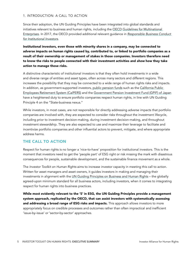#### 1. INTRODUCTION: A CALL TO ACTION

Since their adoption, the UN Guiding Principles have been integrated into global standards and initiatives relevant to business and human rights, including the [OECD Guidelines for Multinational](http://mneguidelines.oecd.org/guidelines/)  [Enterprises.](http://mneguidelines.oecd.org/guidelines/) In 2017, the OECD provided additional relevant guidance in *[Responsible Business Conduct](https://mneguidelines.oecd.org/RBC-for-Institutional-Investors.pdf)  [for Institutional Investors](https://mneguidelines.oecd.org/RBC-for-Institutional-Investors.pdf)*.

Institutional investors, even those with minority shares in a company, may be connected to adverse impacts on human rights caused by, contributed to, or linked to portfolio companies as a result of their ownership or management of stakes in those companies. Investors therefore need to know the risks to people connected with their investment activities and *show* how they take action to manage those risks.

A distinctive characteristic of institutional investors is that they often hold investments in a wide and diverse range of entities and asset types, often across many sectors and different regions. This increases the possibility that they may be connected to a wide range of human rights risks and impacts. In addition, as government-supported investors, [public pension funds](https://www.humanrightscolumbia.org/sites/default/files/bhr_pension_funds_2018.pdf) such as the [California Public](https://www.calpers.ca.gov/)  [Employees Retirement System \(CalPERS\)](https://www.calpers.ca.gov/) and the [Government Pension Investment Fund \(GPIF\) of Japan](https://www.gpif.go.jp/en/) have a heightened duty to ensure portfolio companies respect human rights, in line with UN Guiding Principle 4 on the "State-business nexus."

While investors, in most cases, are not responsible for directly addressing adverse impacts that portfolio companies are involved with, they are expected to consider risks throughout the investment lifecycle, including prior to investment decision-making, during investment decision-making, and throughout investment stewardship. They are also expected to use and maximize their leverage to facilitate and incentivize portfolio companies and other influential actors to prevent, mitigate, and where appropriate address harms.

#### THE CALL TO ACTION

Respect for human rights is no longer a 'nice-to-have' proposition for institutional investors. This is the moment that investors need to get the 'people part' of ESG right or risk missing the mark with disastrous consequences for people, sustainable development, and the sustainable finance movement as a whole.

The *Investor Toolkit on Human Rights* aims to increase investor capacity in meeting this call to action. Written for asset managers and asset owners, it guides investors in making and managing their investments in alignment with the [UN Guiding Principles on Business and Human Rights](https://www.ohchr.org/documents/publications/guidingprinciplesbusinesshr_en.pdf) – the globally agreed-upon minimum standard for all business actors, including investors, when it comes to integrating respect for human rights into business practices.

While most evidently relevant to the 'S' in ESG, the UN Guiding Principles provide a management system approach, replicated by the OECD, that can assist investors with systematically assessing and addressing a broad range of ESG risks and impacts. This approach allows investors to more appropriately focus on credible processes and outcomes rather than often impractical and inefficient 'issue-by-issue' or 'sector-by-sector' approaches.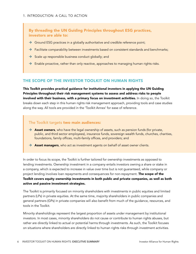By threading the UN Guiding Principles throughout ESG practices, investors are able to:

- $\rightarrow$  Ground ESG practices in a globally authoritative and credible reference point;
- $\rightarrow$  Facilitate comparability between investments based on consistent standards and benchmarks;
- $\rightarrow$  Scale up responsible business conduct globally; and
- $\rightarrow$  Enable proactive, rather than only reactive, approaches to managing human rights risks.

#### THE SCOPE OF THE INVESTOR TOOLKIT ON HUMAN RIGHTS

This Toolkit provides practical guidance for institutional investors in applying the UN Guiding Principles throughout their risk management systems to assess and address risks to people involved with their business, with a primary focus on investment activities. In doing so, the Toolkit breaks down each step in this human rights risk management approach, providing tools and case studies along the way. All tools are provided in the 'Toolkit Annex' for ease of reference.

#### The Toolkit targets two main audiences:

- $\rightarrow$  Asset owners, who have the legal ownership of assets, such as pension funds (for private, public, and third sector employees), insurance funds, sovereign wealth funds, churches, charities, foundations, family offices, multi-family offices, and providers; and
- $\rightarrow$  Asset managers, who act as investment agents on behalf of asset owner clients.

In order to focus its scope, the Toolkit is further tailored for ownership investments as opposed to lending investments. Ownership investment in a company entails investors owning a share or stake in a company, which is expected to increase in value over time but is not guaranteed, while company or project lending involves loan repayments and consequences for non-repayment. The scope of the Toolkit covers equity ownership investments in both public and private companies, as well as both active and passive investment strategies.

The Toolkit is primarily focused on minority shareholders with investments in public equities and limited partners (LPs) in private equities. At the same time, majority shareholders in public companies and general partners (GPs) in private companies will also benefit from much of the guidance, resources, and tools in the Toolkit.

Minority shareholdings represent the largest proportion of assets under management by institutional investors. In most cases, minority shareholders do not cause or contribute to human rights abuses, but rather are directly linked to actual or potential harms through investments. As such, the Toolkit focuses on situations where shareholders are directly linked to human rights risks through investment activities.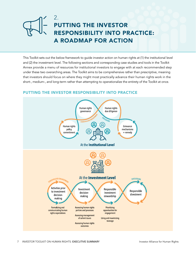

This Toolkit sets out the below framework to guide investor action on human rights at (1) the institutional level and (2) the investment level. The following sections and corresponding case studies and tools in the Toolkit Annex provide a menu of resources for institutional investors to engage with at each recommended step under these two overarching areas. The Toolkit aims to be comprehensive rather than prescriptive, meaning that investors should focus on where they might most practically advance their human rights work in the short-, medium-, and long-term rather than attempting to operationalize the entirety of the Toolkit at once.

#### PUTTING THE INVESTOR RESPONSIBILITY INTO PRACTICE

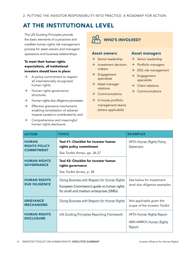## AT THE INSTITUTIONAL LEVEL

The UN Guiding Principles provide the basic elements of a proactive and credible human rights risk management process for asset owners and managers' operations and business relationships.

#### To meet their human rights expectations, all institutional investors should have in place:

- $\rightarrow$  A policy commitment to respect all internationally recognized human rights;
- $\rightarrow$  Human rights governance structures;
- $\rightarrow$  Human rights due diligence processes;
- $\rightarrow$  Effective grievance mechanisms enabling remediation of adverse impacts caused or contributed to; and
- $\rightarrow$  Comprehensive and meaningful human rights disclosure.

WHO'S INVOLVED?

#### Asset owners

- $\rightarrow$  Senior leadership
- $\rightarrow$  Investment decisionmakers
- $\rightarrow$  Engagement specialists
- $\rightarrow$  Asset manager relations
- $\rightarrow$  Communications
- $\rightarrow$  In-house portfolio management teams (where applicable)

#### Asset managers

- $\rightarrow$  Senior leadership
- $\rightarrow$  Portfolio managers
- $\rightarrow$  ESG risk management
- $\rightarrow$  Engagement specialists
- $\rightarrow$  Client relations
- $\rightarrow$  Communications

| <b>ACTION</b>                                             | <b>TOOLS</b>                                                                                                                           | <b>EXAMPLES</b>                                                |
|-----------------------------------------------------------|----------------------------------------------------------------------------------------------------------------------------------------|----------------------------------------------------------------|
| <b>HUMAN</b><br><b>RIGHTS POLICY</b><br><b>COMMITMENT</b> | Tool #1: Checklist for investor human<br>rights policy commitment<br>See Toolkit Annex, pp. 36-37                                      | AP2's Human Rights Policy<br>Statement                         |
| <b>HUMAN RIGHTS</b><br><b>GOVERNANCE</b>                  | Tool #2: Checklist for investor human<br>rights governance<br>See Toolkit Annex, p. 38                                                 |                                                                |
| <b>HUMAN RIGHTS</b><br><b>DUE DILIGENCE</b>               | Doing Business with Respect for Human Rights<br>European Commission's guide on human rights<br>for small and medium enterprises (SMEs) | See below for investment-<br>level due diligence examples      |
| <b>GRIEVANCE</b><br><b>MECHANISMS</b>                     | Doing Business with Respect for Human Rights                                                                                           | Not applicable given the<br>scope of the Investor Toolkit      |
| <b>HUMAN RIGHTS</b><br><b>DISCLOSURE</b>                  | <b>UN Guiding Principles Reporting Framework</b>                                                                                       | AP2's Human Rights Report<br>ABN AMRO's Human Rights<br>Report |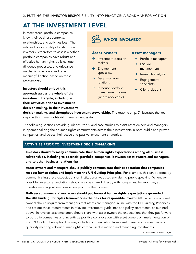### AT THE INVESTMENT LEVEL

In most cases, portfolio companies know their business contexts, relationships, and activities best. The role and responsibility of institutional investors is therefore to assess whether portfolio companies have robust and effective human rights policies, due diligence processes, and grievance mechanisms in place and take meaningful action based on those assessments.

Investors should embed this approach across the whole of the investment lifecycle, including in their activities prior to investment decision-making, in their investment WHO'S INVOLVED?

#### Asset owners

- $\rightarrow$  Investment decisionmakers
- $\rightarrow$  Engagement specialists
- $\rightarrow$  Asset manager relations
- $\rightarrow$  In-house portfolio management teams (where applicable)
- Asset managers
	- $\rightarrow$  Portfolio managers
	- $\rightarrow$  ESG risk management
	- $\rightarrow$  Research analysts
	- $\rightarrow$  Engagement specialists
	- $\rightarrow$  Client relations

decision-making, and throughout investment stewardship. The graphic on p. 7 illustrates the key steps in this human rights risk management system.

The following sections provide guidance, tools, and case studies to assist asset owners and managers in operationalizing their human rights commitments across their investments in both public and private companies, and across their active and passive investment strategies.

#### ACTIVITIES PRIOR TO INVESTMENT DECISION-MAKING

Investors should formally communicate their human rights expectations among all business relationships, including to potential portfolio companies, between asset owners and managers, and to other business relationships.

Asset owners and managers should publicly communicate their expectation that companies respect human rights and implement the UN Guiding Principles. For example, this can be done by communicating these expectations on institutional websites and during public speaking. Whenever possible, investor expectations should also be shared directly with companies, for example, at investor meetings where companies promote their shares.

Both asset owners and managers should put forward human rights expectations grounded in the UN Guiding Principles framework as the basis for responsible investment. In particular, asset owners should require from managers that assets are managed in line with the UN Guiding Principles and set out these requirements in relevant investment guidelines and policy statements, as outlined above. In reverse, asset managers should share with asset owners the expectations that they put forward to portfolio companies and incentivize positive collaboration with asset owners on implementation of the UN Guiding Principles. This may include communication from asset managers to asset owners in quarterly meetings about human rights criteria used in making and managing investments.

*continued on next page*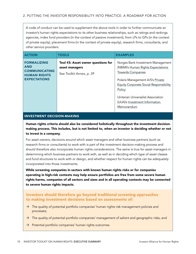A code of conduct can be used to supplement the above tools in order to further communicate an investor's human rights expectations to its other business relationships, such as ratings and rankings agencies, index fund providers (in the context of passive investment), from LPs to GPs (in the context of private equity), placement firms (in the context of private equity), research firms, consultants, and other service providers.

| <b>ACTION</b>                                                                                          | <b>TOOLS</b>                                                                     | <b>EXAMPLES</b>                                                                                                                                                                                                                                                                          |
|--------------------------------------------------------------------------------------------------------|----------------------------------------------------------------------------------|------------------------------------------------------------------------------------------------------------------------------------------------------------------------------------------------------------------------------------------------------------------------------------------|
| <b>FORMALIZING</b><br><b>AND</b><br><b>COMMUNICATING</b><br><b>HUMAN RIGHTS</b><br><b>EXPECTATIONS</b> | Tool #3: Asset owner questions for<br>asset managers<br>See Toolkit Annex, p. 39 | Norges Bank Investment Management<br>(NBIM)'s Human Rights Expectations<br><b>Towards Companies</b><br>Polaris Management A/S's Private<br><b>Equity Corporate Social Responsibility</b><br>Policy<br>Unitarian Universalist Association<br>(UUA)'s Investment Information<br>Memorandum |

#### INVESTMENT DECISION-MAKING

Human rights criteria should also be considered holistically throughout the investment decisionmaking process. This includes, but is not limited to, when an investor is deciding whether or not to invest in a company.

For asset owners, decisions around which asset managers and other business partners (such as research firms or consultants) to work with is part of the investment decision-making process and should therefore also incorporate human rights considerations. The same is true for asset managers in determining which business partners to work with, as well as in deciding which type of asset classes and fund structures to work with or design, and whether respect for human rights can be adequately incorporated into those investments.

While screening companies in sectors with known human rights risks or for companies operating in high-risk contexts may help ensure portfolios are free from some severe human rights harms, companies of all sectors and sizes and in all operating contexts may be connected to severe human rights impacts.

#### Investors should therefore go beyond traditional screening approaches to making investment decisions based on assessments of:

- $\rightarrow$  The quality of potential portfolio companies' human rights risk management policies and processes;
- $\rightarrow$  The quality of potential portfolio companies' management of salient and geographic risks; and
- $\rightarrow$  Potential portfolio companies' human rights outcomes.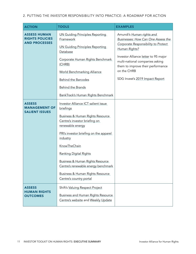#### 2. PUTTING THE INVESTOR RESPONSIBILITY INTO PRACTICE: A ROADMAP FOR ACTION

| <b>ACTION</b>                                                         | <b>TOOLS</b>                                                                                              | <b>EXAMPLES</b>                                                                                                                                                 |
|-----------------------------------------------------------------------|-----------------------------------------------------------------------------------------------------------|-----------------------------------------------------------------------------------------------------------------------------------------------------------------|
| <b>ASSESS HUMAN</b><br><b>RIGHTS POLICIES</b><br><b>AND PROCESSES</b> | <b>UN Guiding Principles Reporting</b><br>Framework<br><b>UN Guiding Principles Reporting</b><br>Database | Amundi's Human rights and<br>Businesses: How Can One Assess the<br>Corporate Responsibility to Protect<br>Human Rights?<br>Investor Alliance letter to 95 major |
|                                                                       | Corporate Human Rights Benchmark<br>(CHRB)<br><b>World Benchmarking Alliance</b>                          | multi-national companies asking<br>them to improve their performance<br>on the CHRB                                                                             |
|                                                                       | <b>Behind the Barcodes</b>                                                                                | SDG Invest's 2019 Impact Report                                                                                                                                 |
|                                                                       | <b>Behind the Brands</b>                                                                                  |                                                                                                                                                                 |
|                                                                       | BankTrack's Human Rights Benchmark                                                                        |                                                                                                                                                                 |
| <b>ASSESS</b><br><b>MANAGEMENT OF</b><br><b>SALIENT ISSUES</b>        | Investor Alliance ICT salient issue<br>briefings                                                          |                                                                                                                                                                 |
|                                                                       | Business & Human Rights Resource<br>Centre's investor briefing on<br>renewable energy                     |                                                                                                                                                                 |
|                                                                       | PRI's investor briefing on the apparel<br>industry                                                        |                                                                                                                                                                 |
|                                                                       | KnowTheChain                                                                                              |                                                                                                                                                                 |
|                                                                       | <b>Ranking Digital Rights</b>                                                                             |                                                                                                                                                                 |
|                                                                       | <b>Business &amp; Human Rights Resource</b><br>Centre's renewable energy benchmark                        |                                                                                                                                                                 |
|                                                                       | Business & Human Rights Resource<br>Centre's country portal                                               |                                                                                                                                                                 |
| <b>ASSESS</b><br><b>HUMAN RIGHTS</b><br><b>OUTCOMES</b>               | Shift's Valuing Respect Project                                                                           |                                                                                                                                                                 |
|                                                                       | <b>Business and Human Rights Resource</b><br>Centre's website and Weekly Update                           |                                                                                                                                                                 |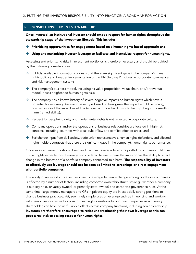#### RESPONSIBLE INVESTMENT STEWARDSHIP

Once invested, an institutional investor should embed respect for human rights throughout the stewardship stage of the investment lifecycle. This includes:

- $\rightarrow$  Prioritizing opportunities for engagement based on a human rights-based approach; and
- $\rightarrow$  Using and maximizing investor leverage to facilitate and incentivize respect for human rights.

Assessing and prioritizing risks in investment portfolios is therefore necessary and should be guided by the following considerations:

- $\rightarrow$  [Publicly available information](https://www.business-humanrights.org) suggests that there are significant gaps in the company's human rights policy and broader implementation of the UN Guiding Principles in corporate governance and risk management systems;
- $\rightarrow$  The company's [business model](https://valuingrespect.org/val-respect-focus-area/business-model-red-flags/), including its value proposition, value chain, and/or revenue model, poses heightened human rights risks;
- $\rightarrow$  The company has a known history of severe negative impacts on human rights which have a potential for recurring. Assessing severity is based on how grave the impact would be (scale), how widespread the impact would be (scope), and how hard it would be to put right the resulting harm (remediability);
- $\rightarrow$  Respect for people's dignity and fundamental rights is not reflected in [corporate culture;](https://valuingrespect.org/resource/rights-respecting-corporate-culture-cultural-norms-values-that-underpin-business-respect-for-human-rights/)
- $\rightarrow$  Company operations and/or the operations of business relationships are located in high-risk contexts, including countries with weak rule of law and conflict-affected areas; and
- $\rightarrow$  [Stakeholder input](https://valuingrespect.org/resource/stakeholder-voice-learning-from-affected-stakeholders-to-better-evaluate-program-effectiveness-and-outcomes/) from civil society, trade union representatives, human rights defenders, and affected rights-holders suggests that there are significant gaps in the company's human rights performance.

Once invested, investors should build and use their leverage to ensure portfolio companies fulfill their human rights expectations. Leverage is considered to exist where the investor has the ability to affect change in the behavior of a portfolio company connected to a harm. The responsibility of investors to effectively use leverage should not be seen as limited to screenings or direct engagement with portfolio companies.

The ability of an investor to effectively use its leverage to create change among portfolios companies is affected by a number of factors, including corporate ownership structures (e.g., whether a company is publicly held, privately owned, or primarily state-owned) and corporate governance rules. At the same time, large money managers and GPs in private equity are in especially strong positions to change business practices. Yet, seemingly simple uses of leverage such as influencing and working with peer investors, as well as posing meaningful questions to portfolio companies as a minority shareholder, can have powerful ripple effects across company functions, including senior leadership. Investors are therefore encouraged to resist underestimating their own leverage as this can pose a real risk to scaling respect for human rights.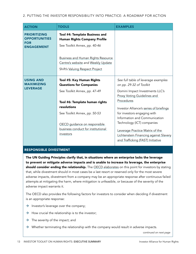2. PUTTING THE INVESTOR RESPONSIBILITY INTO PRACTICE: A ROADMAP FOR ACTION

| <b>ACTION</b>                                                                  | <b>TOOLS</b>                                                                                                                                                     | <b>EXAMPLES</b>                                                                                                                                                                                                                                                                                             |
|--------------------------------------------------------------------------------|------------------------------------------------------------------------------------------------------------------------------------------------------------------|-------------------------------------------------------------------------------------------------------------------------------------------------------------------------------------------------------------------------------------------------------------------------------------------------------------|
| <b>PRIORITIZING</b><br><b>OPPORTUNITIES</b><br><b>FOR</b><br><b>ENGAGEMENT</b> | Tool #4: Template Business and<br><b>Human Rights Company Profile</b><br>See Toolkit Annex, pp. 40-46                                                            |                                                                                                                                                                                                                                                                                                             |
|                                                                                | <b>Business and Human Rights Resource</b><br>Centre's website and Weekly Update<br>Shift's Valuing Respect Project                                               |                                                                                                                                                                                                                                                                                                             |
| <b>USING AND</b><br><b>MAXIMIZING</b><br><b>LEVERAGE</b>                       | Tool #5: Key Human Rights<br><b>Questions for Companies</b><br>See Toolkit Annex, pp. 47-49                                                                      | See full table of leverage examples<br>on pp. 29-32 of Toolkit<br>Domini Impact Investments LLC's                                                                                                                                                                                                           |
|                                                                                | Tool #6: Template human rights<br>resolutions<br>See Toolkit Annex, pp. 50-53<br>OECD guidance on responsible<br>business conduct for institutional<br>investors | <b>Proxy Voting Guidelines and</b><br>Procedures<br>Investor Alliance's series of briefings<br>for investors engaging with<br>Information and Communication<br>Technology (ICT) companies<br>Leverage Practice Matrix of the<br>Lichtenstein Financing against Slavery<br>and Trafficking (FAST) Initiative |

#### RESPONSIBLE DIVESTMENT

The UN Guiding Principles clarify that, in situations where an enterprise lacks the leverage to prevent or mitigate adverse impacts and is unable to increase its leverage, the enterprise should consider ending the relationship. The [OECD elaborates](https://mneguidelines.oecd.org/RBC-for-Institutional-Investors.pdf) on this point for investors by stating that, while divestment should in most cases be a last resort or reserved only for the most severe adverse impacts, divestment from a company may be an appropriate response after continuous failed attempts at mitigating the harm, where mitigation is unfeasible, or because of the severity of the adverse impact warrants it.

The OECD also provides the following factors for investors to consider when deciding if divestment is an appropriate response:

- $\rightarrow$  Investor's leverage over the company;
- $\rightarrow$  How crucial the relationship is to the investor;
- $\rightarrow$  The severity of the impact; and
- $\rightarrow$  Whether terminating the relationship with the company would result in adverse impacts.

*continued on next page*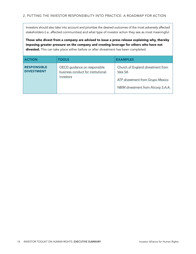Investors should also take into account and prioritize the desired outcomes of the most adversely affected stakeholders (i.e. affected communities) and what type of investor action they see as most meaningful.

Those who divest from a company are advised to issue a press release explaining why, thereby imposing greater pressure on the company and creating leverage for others who have not divested. This can take place either before or after divestment has been completed.

| <b>ACTION</b>                           | <b>TOOLS</b>                                                                    | <b>EXAMPLES</b>                                                                                                                |
|-----------------------------------------|---------------------------------------------------------------------------------|--------------------------------------------------------------------------------------------------------------------------------|
| <b>RESPONSIBLE</b><br><b>DIVESTMENT</b> | OECD guidance on responsible<br>business conduct for institutional<br>investors | Church of England divestment from<br>Vale SA<br><b>ATP divestment from Grupo Mexico</b><br>NBIM divestment from Alicorp S.A.A. |